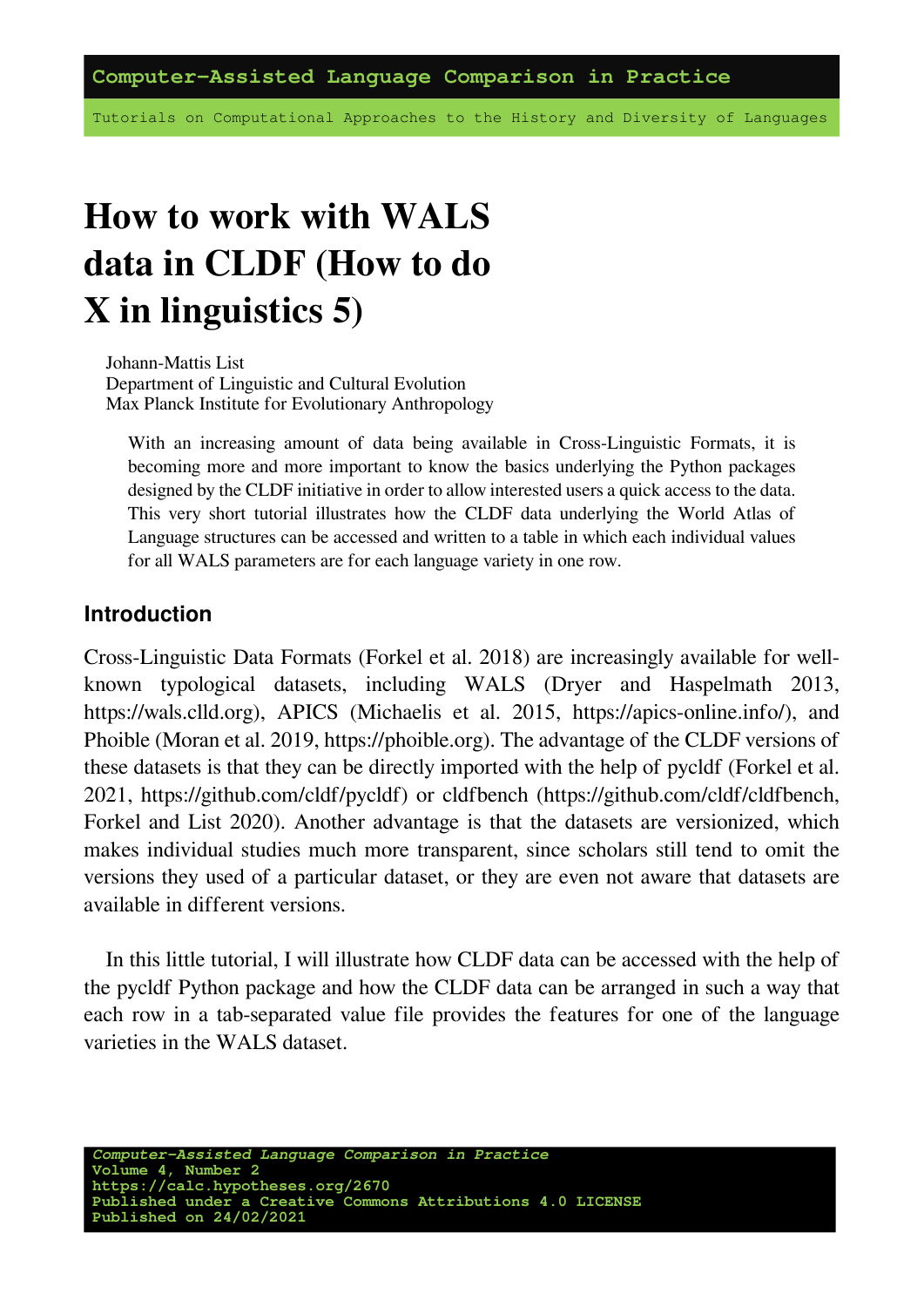**Computer-Assisted Language Comparison in Practice**

Tutorials on Computational Approaches to the History and Diversity of Languages

# **How to work with WALS data in CLDF (How to do X in linguistics 5)**

Johann-Mattis List Department of Linguistic and Cultural Evolution Max Planck Institute for Evolutionary Anthropology

With an increasing amount of data being available in Cross-Linguistic Formats, it is becoming more and more important to know the basics underlying the Python packages designed by the CLDF initiative in order to allow interested users a quick access to the data. This very short tutorial illustrates how the CLDF data underlying the World Atlas of Language structures can be accessed and written to a table in which each individual values for all WALS parameters are for each language variety in one row.

#### **Introduction**

Cross-Linguistic Data Formats([Forkel et al. 2018\)](https://digling.org/evobib/?bibtex=Forkel2018a) are increasingly available for wellknown typological datasets, including WALS [\(Dryer and Haspelmath 2013,](https://digling.org/evobib/?bibtex=WALS-2013) [https://wals.clld.org](https://wals.clld.org/)), APICS [\(Michaelis et al. 2015](https://digling.org/evobib/?bibtex=APICS), [https://apics-online.info/\)](https://apics-online.info/), and Phoible([Moran et al. 2019](https://digling.org/evobib/?bibtex=Phoible-2.0.0), [https://phoible.org](https://phoible.org/)). The advantage of the CLDF versions of these datasets is that they can be directly imported with the help of pycldf([Forkel et al.](https://digling.org/evobib/?bibtex=PyCLDF) [2021](https://digling.org/evobib/?bibtex=PyCLDF),<https://github.com/cldf/pycldf>) or cldfbench([https://github.com/cldf/cldfbench,](https://github.com/cldf/cldfbench) [Forkel and List 2020](https://digling.org/evobib/?bibtex=Forkel2020)). Another advantage is that the datasets are versionized, which makes individual studies much more transparent, since scholars still tend to omit the versions they used of a particular dataset, or they are even not aware that datasets are available in different versions.

In this little tutorial, I will illustrate how CLDF data can be accessed with the help of the pycldf Python package and how the CLDF data can be arranged in such a way that each row in a tab-separated value file provides the features for one of the language varieties in the WALS dataset.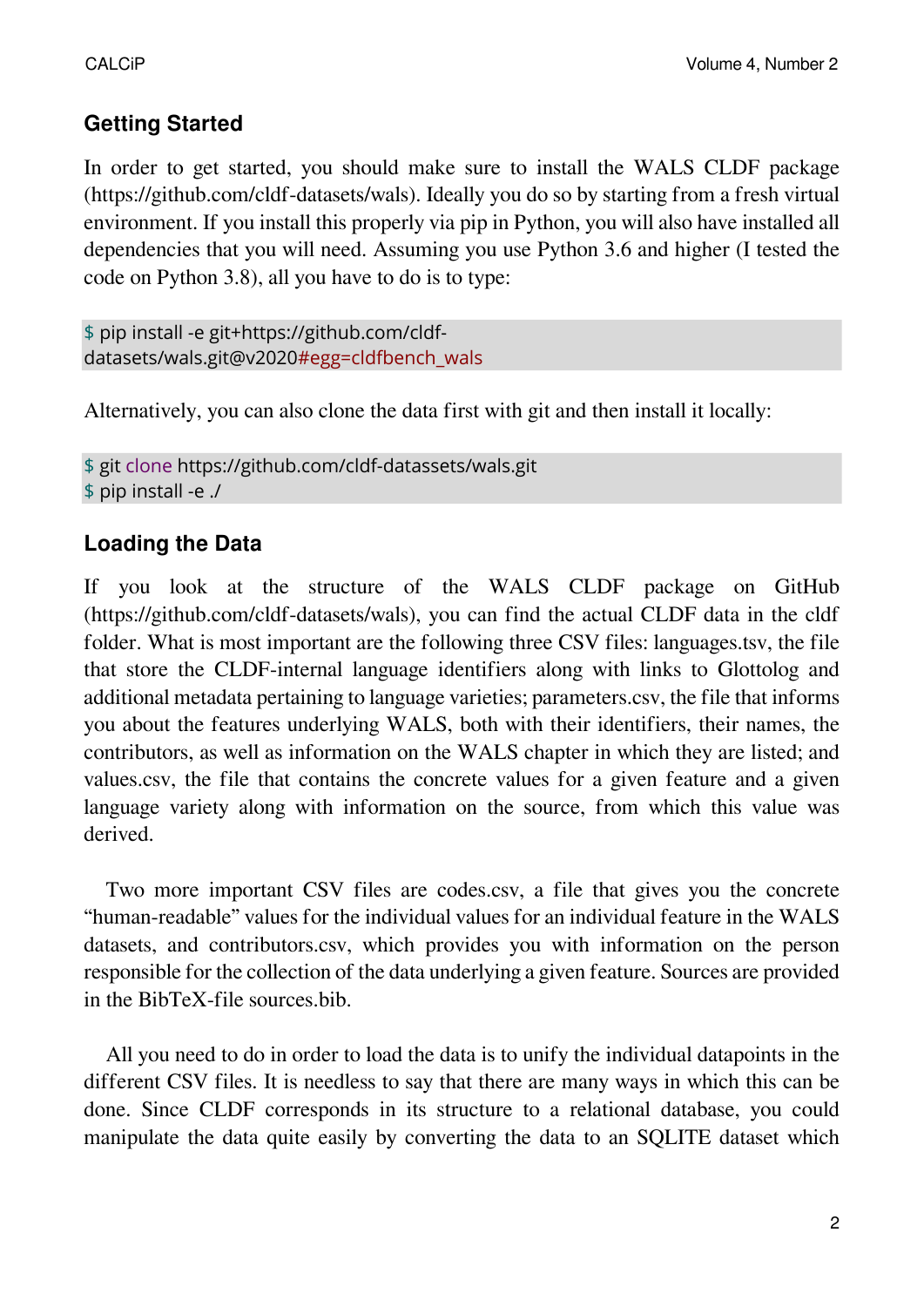## **Getting Started**

In order to get started, you should make sure to install the WALS CLDF package (<https://github.com/cldf-datasets/wal>s). Ideally you do so by starting froma [fresh virtual](https://docs.python.org/3/tutorial/venv.html) [environment](https://docs.python.org/3/tutorial/venv.html). If you install this properly via pip in Python, you will also have installed all dependencies that you will need. Assuming you use Python 3.6 and higher (I tested the code on Python 3.8), all you have to do is to type:

```
$ pip install -e git+https://github.com/cldf-
datasets/wals.git@v2020#egg=cldfbench_wals
```
Alternatively, you can also clone the data first with git and then install it locally:

```
$ git clone https://github.com/cldf-datassets/wals.git
$ pip install -e ./
```
# **Loading the Data**

If you look at the structure of the WALS CLDF package on GitHub (https://github.com/cldf-datasets/wals), you can find the actual CLDF data in the cldf folder. What is most important are the following three CSV files: languages.tsv, the file that store the CLDF-internal language identifiers along with links to Glottolog and additional metadata pertaining to language varieties; parameters.csv, the file that informs you about the features underlying WALS, both with their identifiers, their names, the contributors, as well as information on the WALS chapter in which they are listed; and values.csv, the file that contains the concrete values for a given feature and a given language variety along with information on the source, from which this value was derived.

Two more important CSV files are codes.csv, a file that gives you the concrete "human-readable" values for the individual values for an individual feature in the WALS datasets, and contributors.csv, which provides you with information on the person responsible for the collection of the data underlying a given feature. Sources are provided in the BibTeX-file sources.bib.

All you need to do in order to load the data is to unify the individual datapoints in the different CSV files. It is needless to say that there are many ways in which this can be done. Since CLDF corresponds in its structure to a relational database, you could manipulate the data quite easily by converting the data to an SQLITE dataset which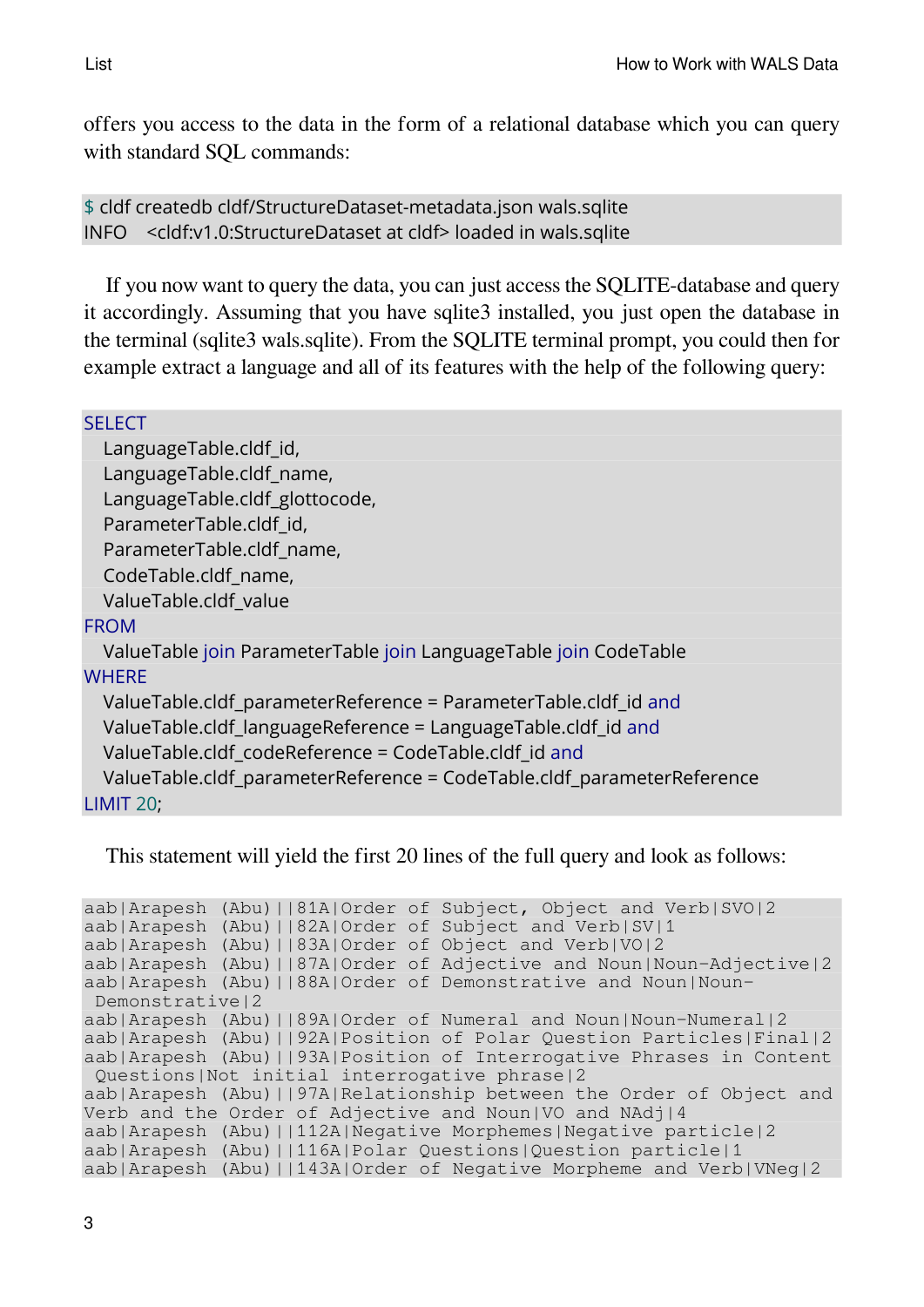offers you access to the data in the form of a relational database which you can query with standard SQL commands:

\$ cldf createdb cldf/StructureDataset-metadata.json wals.sqlite INFO <cldf:v1.0:StructureDataset at cldf> loaded in wals.sqlite

If you now want to query the data, you can just access the SQLITE-database and query it accordingly. Assuming that you have sqlite3 installed, you just open the database in the terminal (sqlite3 wals.sqlite). From the SQLITE terminal prompt, you could then for example extract a language and all of its features with the help of the following query:

#### **SELECT**

LanguageTable.cldf\_id, LanguageTable.cldf\_name, LanguageTable.cldf\_glottocode, ParameterTable.cldf\_id, ParameterTable.cldf\_name, CodeTable.cldf\_name, ValueTable.cldf\_value

#### FROM

ValueTable join ParameterTable join LanguageTable join CodeTable **WHERE** 

ValueTable.cldf\_parameterReference = ParameterTable.cldf\_id and ValueTable.cldf\_languageReference = LanguageTable.cldf\_id and ValueTable.cldf\_codeReference = CodeTable.cldf\_id and ValueTable.cldf\_parameterReference = CodeTable.cldf\_parameterReference LIMIT 20;

This statement will yield the first 20 lines of the full query and look as follows:

```
aab|Arapesh (Abu)||81A|Order of Subject, Object and Verb|SVO|2
aab|Arapesh (Abu)||82A|Order of Subject and Verb|SV|1
aab|Arapesh (Abu)||83A|Order of Object and Verb|VO|2
aab|Arapesh (Abu)||87A|Order of Adjective and Noun|Noun-Adjective|2
aab|Arapesh (Abu)||88A|Order of Demonstrative and Noun|Noun-
Demonstrative|2
aab|Arapesh (Abu)||89A|Order of Numeral and Noun|Noun-Numeral|2
aab|Arapesh (Abu)||92A|Position of Polar Question Particles|Final|2
aab|Arapesh (Abu)||93A|Position of Interrogative Phrases in Content
Questions|Not initial interrogative phrase|2
aab|Arapesh (Abu)||97A|Relationship between the Order of Object and
Verb and the Order of Adjective and Noun|VO and NAdj|4
aab|Arapesh (Abu)||112A|Negative Morphemes|Negative particle|2
aab|Arapesh (Abu)||116A|Polar Questions|Question particle|1
aab|Arapesh (Abu)||143A|Order of Negative Morpheme and Verb|VNeg|2
```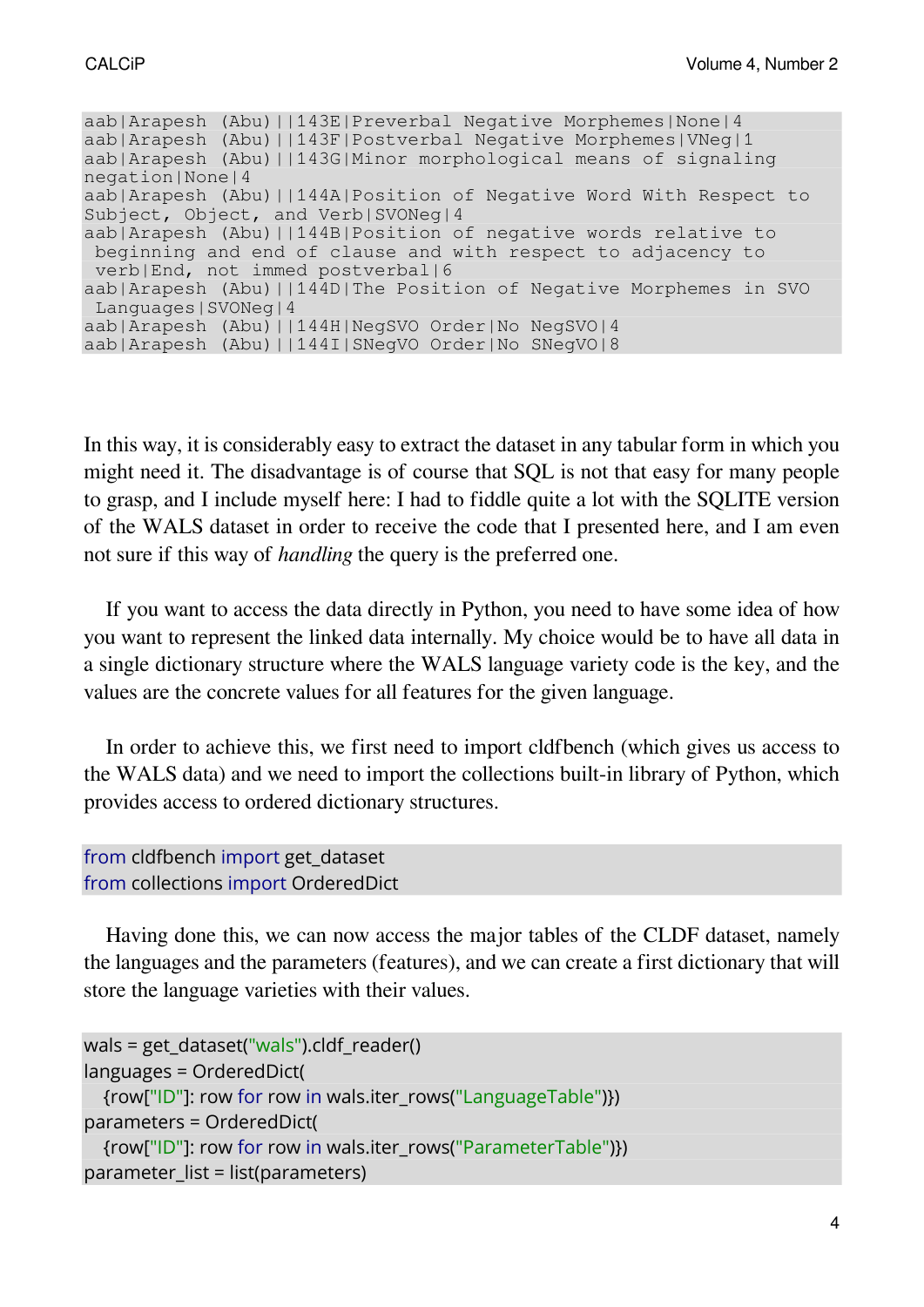aab|Arapesh (Abu)||143E|Preverbal Negative Morphemes|None|4 aab|Arapesh (Abu)||143F|Postverbal Negative Morphemes|VNeg|1 aab|Arapesh (Abu)||143G|Minor morphological means of signaling negation|None|4 aab|Arapesh (Abu)||144A|Position of Negative Word With Respect to Subject, Object, and Verb|SVONeg|4 aab|Arapesh (Abu)||144B|Position of negative words relative to beginning and end of clause and with respect to adjacency to verb|End, not immed postverbal|6 aab|Arapesh (Abu)||144D|The Position of Negative Morphemes in SVO Languages|SVONeg|4 aab|Arapesh (Abu)||144H|NegSVO Order|No NegSVO|4 aab|Arapesh (Abu)||144I|SNegVO Order|No SNegVO|8

In this way, it is considerably easy to extract the dataset in any tabular form in which you might need it. The disadvantage is of course that SQL is not that easy for many people to grasp, and I include myself here: I had to fiddle quite a lot with the SQLITE version of the WALS dataset in order to receive the code that I presented here, and I am even not sure if this way of *handling* the query is the preferred one.

If you want to access the data directly in Python, you need to have some idea of how you want to represent the linked data internally. My choice would be to have all data in a single dictionary structure where the WALS language variety code is the key, and the values are the concrete values for all features for the given language.

In order to achieve this, we first need to import cldfbench (which gives us access to the WALS data) and we need to import the collections built-in library of Python, which provides access to ordered dictionary structures.

```
from cldfbench import get dataset
from collections import OrderedDict
```
Having done this, we can now access the major tables of the CLDF dataset, namely the languages and the parameters (features), and we can create a first dictionary that will store the language varieties with their values.

```
wals = get_dataset("wals").cldf_reader()
languages = OrderedDict(
  {row["ID"]: row for row in wals.iter_rows("LanguageTable")})
parameters = OrderedDict(
  {row["ID"]: row for row in wals.iter_rows("ParameterTable")})
parameter list = list(parameters)
```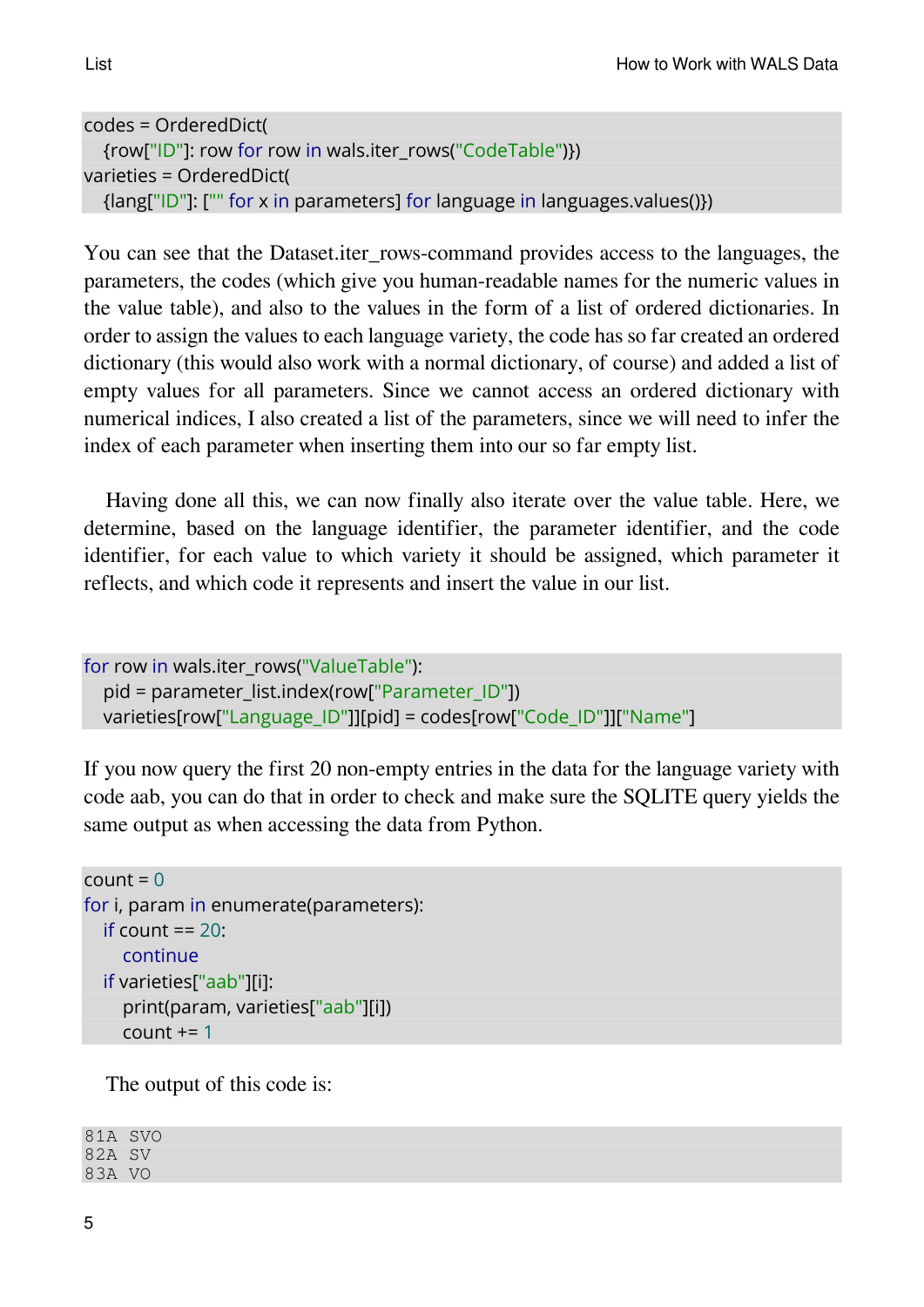```
codes = OrderedDict(
  {row["ID"]: row for row in wals.iter_rows("CodeTable")})
varieties = OrderedDict(
  {lang["ID"]: ["" for x in parameters] for language in languages.values()})
```
You can see that the Dataset.iter\_rows-command provides access to the languages, the parameters, the codes (which give you human-readable names for the numeric values in the value table), and also to the values in the form of a list of ordered dictionaries. In order to assign the values to each language variety, the code has so far created an ordered dictionary (this would also work with a normal dictionary, of course) and added a list of empty values for all parameters. Since we cannot access an ordered dictionary with numerical indices, I also created a list of the parameters, since we will need to infer the index of each parameter when inserting them into our so far empty list.

Having done all this, we can now finally also iterate over the value table. Here, we determine, based on the language identifier, the parameter identifier, and the code identifier, for each value to which variety it should be assigned, which parameter it reflects, and which code it represents and insert the value in our list.

```
for row in wals.iter_rows("ValueTable"):
  pid = parameter_list.index(row["Parameter_ID"])
  varieties[row["Language_ID"]][pid] = codes[row["Code_ID"]]["Name"]
```
If you now query the first 20 non-empty entries in the data for the language variety with code aab, you can do that in order to check and make sure the SQLITE query yields the same output as when accessing the data from Python.

```
count = 0for i, param in enumerate(parameters):
  if count == 20:
    continue
  if varieties["aab"][i]:
    print(param, varieties["aab"][i])
    count += 1
```
The output of this code is:

81A SVO 82A SV 83A VO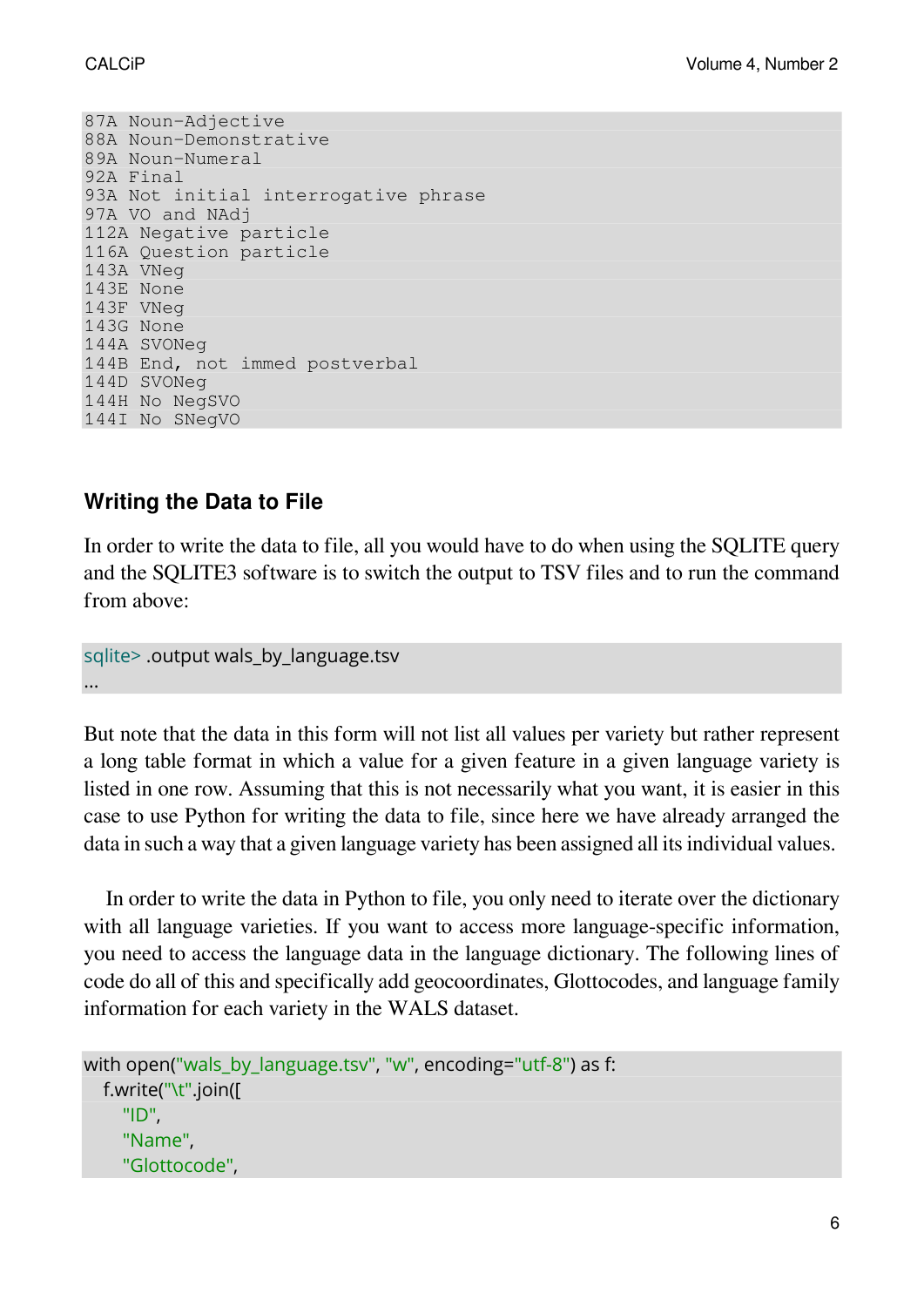87A Noun-Adjective 88A Noun-Demonstrative 89A Noun-Numeral 92A Final 93A Not initial interrogative phrase 97A VO and NAdj 112A Negative particle 116A Question particle 143A VNeg 143E None 143F VNeg 143G None 144A SVONeg 144B End, not immed postverbal 144D SVONeg 144H No NegSVO 144I No SNegVO

## **Writing the Data to File**

In order to write the data to file, all you would have to do when using the SQLITE query and the SQLITE3 software is to switch the output to TSV files and to run the command from above:

```
sqlite> .output wals by language.tsv
...
```
But note that the data in this form will not list all values per variety but rather represent a long table format in which a value for a given feature in a given language variety is listed in one row. Assuming that this is not necessarily what you want, it is easier in this case to use Python for writing the data to file, since here we have already arranged the data in such a way that a given language variety has been assigned all its individual values.

In order to write the data in Python to file, you only need to iterate over the dictionary with all language varieties. If you want to access more language-specific information, you need to access the language data in the language dictionary. The following lines of code do all of this and specifically add geocoordinates, Glottocodes, and language family information for each variety in the WALS dataset.

```
with open("wals by language.tsv", "w", encoding="utf-8") as f:
  f.write("\t".join([
    "ID",
    "Name",
    "Glottocode",
```